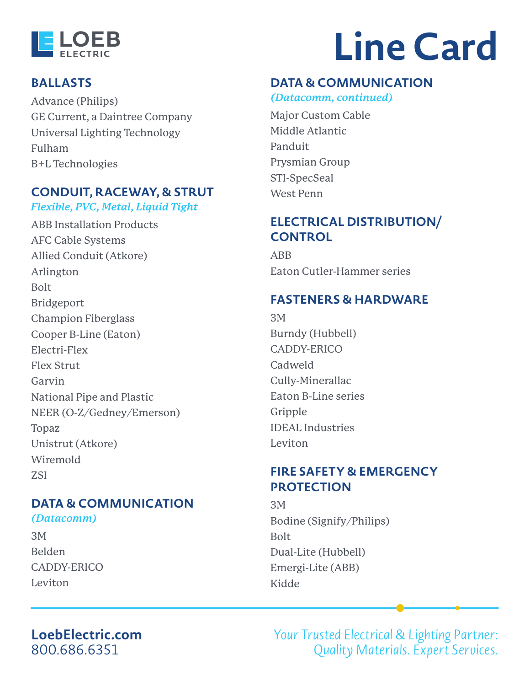

#### **BALLASTS**

[Advance \(Philips\)](https://www.signify.com/en-us/brands/advance) [GE Current, a Daintree Company](https://www.gecurrent.com) [Universal Lighting Technology](https://unvlt.com) [Fulham](https://www.fulham.com) [B+L Technologies](https://bplusl.com)

#### **CONDUIT, RACEWAY, & STRUT**

*Flexible, PVC, Metal, Liquid Tight*

[ABB Installation Products](https://electrification.us.abb.com/products/installation-products) [AFC Cable Systems](https://www.afcweb.com) [Allied Conduit \(Atkore\)](http://www.alliedeg.us) [Arlington](http://www.aifittings.com) [Bolt](http://getbolt.net/bolt/index.cfm/strut-fittings) [Bridgeport](https://www.bptfittings.com) [Champion Fiberglass](https://championfiberglass.com) [Cooper B-Line \(Eaton\)](https://www.eaton.com/us/en-us/products/support-systems/bl-transition.html) [Electri-Flex](https://www.electriflex.com) [Flex Strut](https://www.flexstrut.com) [Garvin](https://www.garvinindustries.com) [National Pipe and Plastic](https://www.nationalpipe.com) [NEER \(O-Z/Gedney/Emerson\)](https://www.emerson.com/en-us/catalog/o-zgedney-neer-cable-conduit-conn) [Topaz](https://www.topaz-usa.com/electrical) [Unistrut \(Atkore\)](https://www.unistrut.us) [Wiremold](https://www.legrand.us/wiremold.aspx) [ZSI](https://www.zsi-foster.com)

# **DATA & COMMUNICATION**

*(Datacomm)*

[3M](https://www.3m.com/3M/en_US/data-center-us/) [Belden](https://www.belden.com) [CADDY-ERICO](https://www.erico.com/category.asp?category=R919) [Leviton](https://www.leviton.com/en/products/commercial/networking)

# **Line Card**

#### **[DATA & COMMUNICATION](https://www.leviton.com/en/products/commercial/networking)**

*[\(Datacomm, continued\)](https://www.leviton.com/en/products/commercial/networking)*

[Major Custom Cable](https://www.majorcustomcable.com) [Middle Atlantic](https://www.middleatlantic.com/products/racks-enclosures.aspx) [Panduit](https://www.panduit.com) [Prysmian Group](https://www.prysmiangroup.com/en) [STI-SpecSeal](https://www.stifirestop.com) [West Penn](https://www.westpennwire.com)

### **ELECTRICAL DISTRIBUTION/ CONTROL**

[ABB](https://new.abb.com/medium-voltage/switchgear) [Eaton Cutler-Hammer series](https://www.eaton.com/Eaton/ProductsServices/ProductsbyName/Cutler-Hammer/)

#### **FASTENERS & HARDWARE**

[3M](https://www.3m.com/3M/en_US/company-us/all-3m-products/~/All-3M-Products/Adhesives-Tapes/?N=5002385+8710676+8711017+3294857497&rt=r3) [Burndy \(Hubbell\)](https://www.hubbell.com/burndy/en) [CADDY-ERICO](https://www.erico.com/category.asp?category=R919) Cadweld [Cully-Minerallac](https://www.minerallac.com) [Eaton B-Line series](https://www.eaton.com/us/en-us/products/support-systems/bl-transition.html) [Gripple](https://www.gripple.com/us/us/about-us) [IDEAL Industries](https://idealind.com) [Leviton](https://www.leviton.com/en)

#### **FIRE SAFETY & EMERGENCY PROTECTION**

[3M](https://www.3m.com/3M/en_US/company-us/all-3m-products/~/All-3M-Products/?N=5002385+8710676+8710815+8711017+8719954+3294857497&rt=r3) [Bodine \(Signify/Philips\)](https://www.signify.com/en-us/brands/bodine) [Bolt](http://getbolt.net/bolt/index.cfm/exit-emergency-lighting/) [Dual-Lite \(Hubbell\)](https://www.hubbell.com/dual-lite/en/Products/Lighting-Controls/Emergency-Exit-Lighting/cl/535417) [Emergi-Lite \(ABB\)](http://www.emergi-lite.com/usa) [Kidde](https://www.kidde.com/home-safety/en/us/)

# **[LoebElectric.com](https://loebelectric.com)** [800.686.6351](tel:8006866351)

Your Trusted Electrical & Lighting Partner: Quality Materials. Expert Services.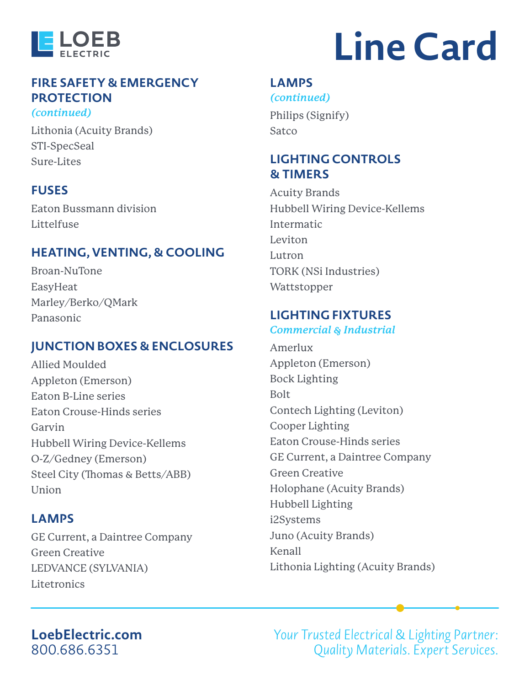

*[\(continued\)](https://www.kidde.com/home-safety/en/us/)*

# **[FIRE SAFETY & EMERGENCY](https://www.kidde.com/home-safety/en/us/)  [PROTECTION](https://www.kidde.com/home-safety/en/us/)**

[Lithonia \(Acuity Brands\)](https://lithonia.acuitybrands.com/en/products/emergency-and-exit) [STI-SpecSeal](https://www.stifirestop.com) [Sure-Lites](https://www.cooperlighting.com/global/brands/sure-lites)

#### **FUSES**

[Eaton Bussmann division](http://www.cooperindustries.com/content/public/en/bussmann/electrical.html) [Littelfuse](https://www.littelfuse.com)

#### **HEATING, VENTING, & COOLING**

[Broan-NuTone](https://www.broan.com/Bath-Vent-Fan) [EasyHeat](https://www.emerson.com/en-us/commercial-residential/easyheat) [Marley/Berko/QMark](https://www.marleymep.com) [Panasonic](https://na.panasonic.com/us/home-and-building-solutions/ventilation-indoor-air-quality/ventilation-fans)

### **JUNCTION BOXES & ENCLOSURES**

[Allied Moulded](https://www.alliedmoulded.com) [Appleton \(Emerson\)](https://www.emerson.com/en-us/automation/appleton) [Eaton B-Line series](https://www.eaton.com/us/en-us/products/support-systems/bl-transition.html) [Eaton Crouse-Hinds series](https://www.eaton.com/us/en-us/support/poweredge-support/crouse-Hinds-series-product-line-location-quick-reference.html) [Garvin](https://www.garvinindustries.com) [Hubbell Wiring Device-Kellems](https://www.hubbell.com/wiringdevice-kellems/en/) [O-Z/Gedney \(Emerson\)](https://www.emerson.com/en-us/commercial-residential/o-zgedney) [Steel City \(Thomas & Betts/ABB\)](http://www.tnb.com/pub/en/brands/steel-city) [Union](https://www.unionconnector.com)

#### **LAMPS**

[GE Current, a Daintree Company](https://www.gecurrent.com/?src=aip) [Green Creative](https://greencreative.com) [LEDVANCE \(SYLVANIA\)](https://www.ledvanceus.com/Pages/default.aspx) [Litetronics](https://www.litetronics.com)

# **Line Card**

#### **[LAMPS](https://www.litetronics.com)**

*[\(continued\)](https://www.litetronics.com)* [Philips \(Signify\)](https://www.signify.com/en-us) **[Satco](https://www.satco.com)** 

#### **LIGHTING CONTROLS & TIMERS**

[Acuity Brands](https://www.acuitybrands.com) [Hubbell Wiring Device-Kellems](https://www.hubbell.com/wiringdevice-kellems/en/) [Intermatic](https://www.intermatic.com/?setContextLanguageCode=en) [Leviton](https://www.leviton.com/en) [Lutron](http://www.lutron.com/en-US/pages/default.aspx) [TORK \(NSi Industries\)](http://www.nsiindustries.com/catalog/nsiproducts/tork/tork-mechanical-time-switches) [Wattstopper](https://www.legrand.us/wattstopper.aspx)

#### **LIGHTING FIXTURES**

#### *Commercial & Industrial*

[Amerlux](https://www.amerlux.com) [Appleton \(Emerson\)](https://www.emerson.com/en-us/automation/electrical-component-lighting/lighting) [Bock Lighting](https://www.bocklighting.com) [Bolt](http://getbolt.net/bolt) [Contech Lighting \(Leviton\)](https://www.contechlighting.com/en/ct/home) [Cooper Lighting](https://www.cooperlighting.com/global) [Eaton Crouse-Hinds series](https://www.eaton.com/us/en-us/support/poweredge-support/crouse-Hinds-series-product-line-location-quick-reference.html) [GE Current, a Daintree Company](https://www.gecurrent.com/?src=aip) [Green Creative](https://greencreative.com) [Holophane \(Acuity Brands\)](https://holophane.acuitybrands.com) [Hubbell Lighting](https://www.hubbell.com/hubbelllightingci/en) [i2Systems](https://www.i2systems.com/index.html) [Juno \(Acuity Brands\)](https://juno.acuitybrands.com) [Kenall](https://kenall.com/Home) [Lithonia Lighting \(Acuity Brands\)](https://lithonia.acuitybrands.com)

#### **[LoebElectric.com](https://loebelectric.com)** [800.686.6351](tel:8006866351)

Your Trusted Electrical & Lighting Partner: Quality Materials. Expert Services.